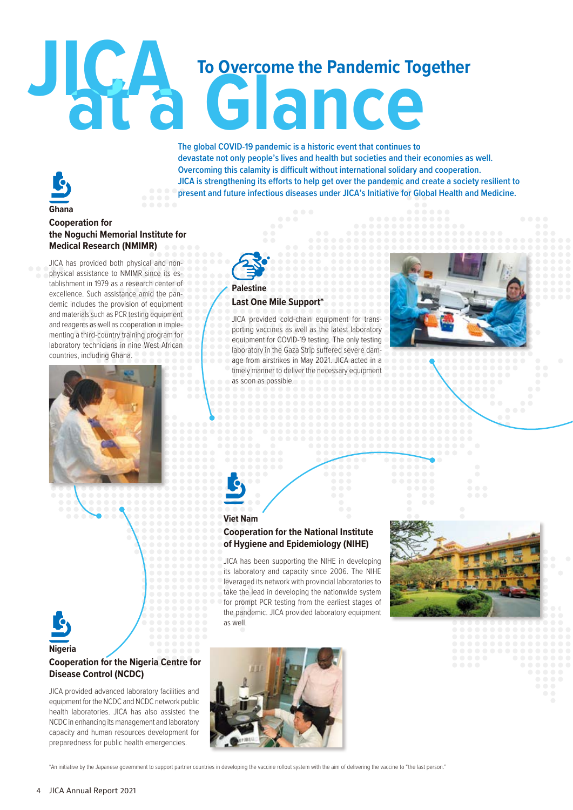# **JICA To Overcome the Pandemic Together**

**The global COVID-19 pandemic is a historic event that continues to devastate not only people's lives and health but societies and their economies as well. Overcoming this calamity is difficult without international solidary and cooperation. JICA is strengthening its efforts to help get over the pandemic and create a society resilient to present and future infectious diseases under JICA's Initiative for Global Health and Medicine.**

### **Ghana Cooperation for the Noguchi Memorial Institute for Medical Research (NMIMR)**

JICA has provided both physical and nonphysical assistance to NMIMR since its establishment in 1979 as a research center of excellence. Such assistance amid the pandemic includes the provision of equipment and materials such as PCR testing equipment and reagents as well as cooperation in implementing a third-country training program for laboratory technicians in nine West African countries, including Ghana.







**Nigeria**

# **Cooperation for the Nigeria Centre for Disease Control (NCDC)**

JICA provided advanced laboratory facilities and equipment for the NCDC and NCDC network public health laboratories. JICA has also assisted the NCDC in enhancing its management and laboratory capacity and human resources development for preparedness for public health emergencies.



\*An initiative by the Japanese government to support partner countries in developing the vaccine rollout system with the aim of delivering the vaccine to "the last person."



### **Viet Nam**

**Palestine**

**Last One Mile Support\***

as soon as possible.

age from airstrikes in May 2021. JICA acted in a timely manner to deliver the necessary equipment

## **Cooperation for the National Institute of Hygiene and Epidemiology (NIHE)**

JICA has been supporting the NIHE in developing its laboratory and capacity since 2006. The NIHE leveraged its network with provincial laboratories to take the lead in developing the nationwide system for prompt PCR testing from the earliest stages of the pandemic. JICA provided laboratory equipment as well.